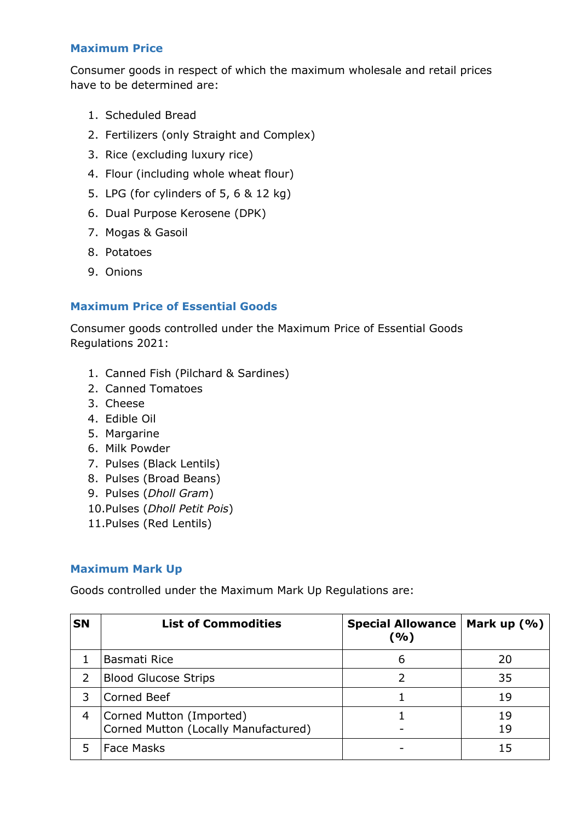## **Maximum Price**

Consumer goods in respect of which the maximum wholesale and retail prices have to be determined are:

- 1. Scheduled Bread
- 2. Fertilizers (only Straight and Complex)
- 3. Rice (excluding luxury rice)
- 4. Flour (including whole wheat flour)
- 5. LPG (for cylinders of 5, 6 & 12 kg)
- 6. Dual Purpose Kerosene (DPK)
- 7. Mogas & Gasoil
- 8. Potatoes
- 9. Onions

## **Maximum Price of Essential Goods**

Consumer goods controlled under the Maximum Price of Essential Goods Regulations 2021:

- 1. Canned Fish (Pilchard & Sardines)
- 2. Canned Tomatoes
- 3. Cheese
- 4. Edible Oil
- 5. Margarine
- 6. Milk Powder
- 7. Pulses (Black Lentils)
- 8. Pulses (Broad Beans)
- 9. Pulses (*Dholl Gram*)
- 10.Pulses (*Dholl Petit Pois*)
- 11.Pulses (Red Lentils)

## **Maximum Mark Up**

Goods controlled under the Maximum Mark Up Regulations are:

| <b>SN</b> | <b>List of Commodities</b>                                       | <b>Special Allowance</b><br>(%) | Mark up $(\% )$ |
|-----------|------------------------------------------------------------------|---------------------------------|-----------------|
|           | Basmati Rice                                                     | 6                               | 20              |
| 2         | <b>Blood Glucose Strips</b>                                      |                                 | 35              |
| 3         | <b>Corned Beef</b>                                               |                                 | 19              |
| 4         | Corned Mutton (Imported)<br>Corned Mutton (Locally Manufactured) |                                 | 19<br>19        |
|           | <b>Face Masks</b>                                                |                                 | 15              |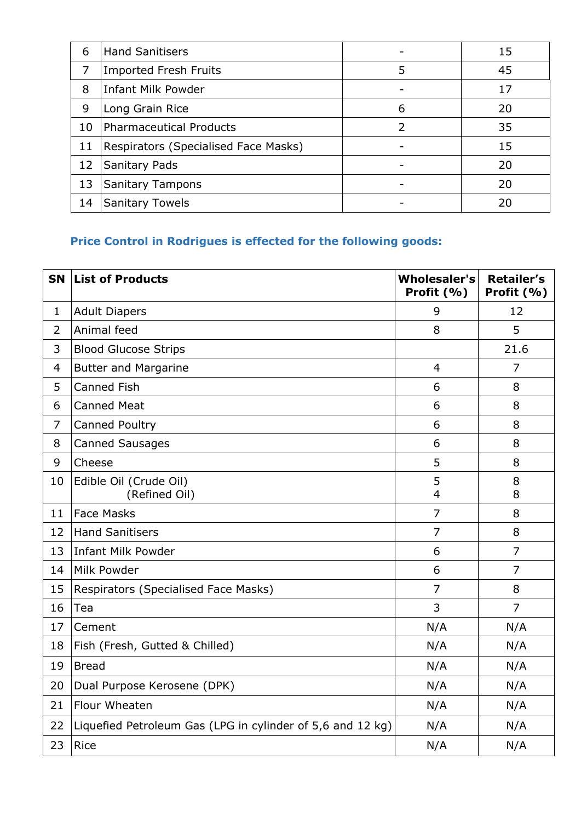| 6  | <b>Hand Sanitisers</b>               |   | 15 |
|----|--------------------------------------|---|----|
| 7  | <b>Imported Fresh Fruits</b>         | 5 | 45 |
| 8  | <b>Infant Milk Powder</b>            |   | 17 |
| 9  | Long Grain Rice                      | 6 | 20 |
| 10 | <b>Pharmaceutical Products</b>       | 2 | 35 |
| 11 | Respirators (Specialised Face Masks) |   | 15 |
| 12 | Sanitary Pads                        |   | 20 |
| 13 | <b>Sanitary Tampons</b>              |   | 20 |
| 14 | <b>Sanitary Towels</b>               |   | 20 |

## **Price Control in Rodrigues is effected for the following goods:**

| <b>SN</b>      | <b>List of Products</b>                                    | <b>Wholesaler's</b><br>Profit (%) | <b>Retailer's</b><br>Profit (%) |
|----------------|------------------------------------------------------------|-----------------------------------|---------------------------------|
| $\mathbf{1}$   | <b>Adult Diapers</b>                                       | 9                                 | 12                              |
| $\overline{2}$ | Animal feed                                                | 8                                 | 5                               |
| 3              | <b>Blood Glucose Strips</b>                                |                                   | 21.6                            |
| 4              | <b>Butter and Margarine</b>                                | $\overline{4}$                    | $\overline{7}$                  |
| 5              | <b>Canned Fish</b>                                         | 6                                 | 8                               |
| 6              | <b>Canned Meat</b>                                         | 6                                 | 8                               |
| $\overline{7}$ | Canned Poultry                                             | 6                                 | 8                               |
| 8              | <b>Canned Sausages</b>                                     | 6                                 | 8                               |
| 9              | Cheese                                                     | 5                                 | 8                               |
| 10             | Edible Oil (Crude Oil)<br>(Refined Oil)                    | 5<br>$\overline{4}$               | 8<br>8                          |
| 11             | <b>Face Masks</b>                                          | $\overline{7}$                    | 8                               |
| 12             | <b>Hand Sanitisers</b>                                     | $\overline{7}$                    | 8                               |
| 13             | <b>Infant Milk Powder</b>                                  | 6                                 | $\overline{7}$                  |
| 14             | Milk Powder                                                | 6                                 | $\overline{7}$                  |
| 15             | Respirators (Specialised Face Masks)                       | $\overline{7}$                    | 8                               |
| 16             | Tea                                                        | 3                                 | $\overline{7}$                  |
| 17             | Cement                                                     | N/A                               | N/A                             |
| 18             | Fish (Fresh, Gutted & Chilled)                             | N/A                               | N/A                             |
| 19             | <b>Bread</b>                                               | N/A                               | N/A                             |
| 20             | Dual Purpose Kerosene (DPK)                                | N/A                               | N/A                             |
| 21             | Flour Wheaten                                              | N/A                               | N/A                             |
| 22             | Liquefied Petroleum Gas (LPG in cylinder of 5,6 and 12 kg) | N/A                               | N/A                             |
| 23             | <b>Rice</b>                                                | N/A                               | N/A                             |